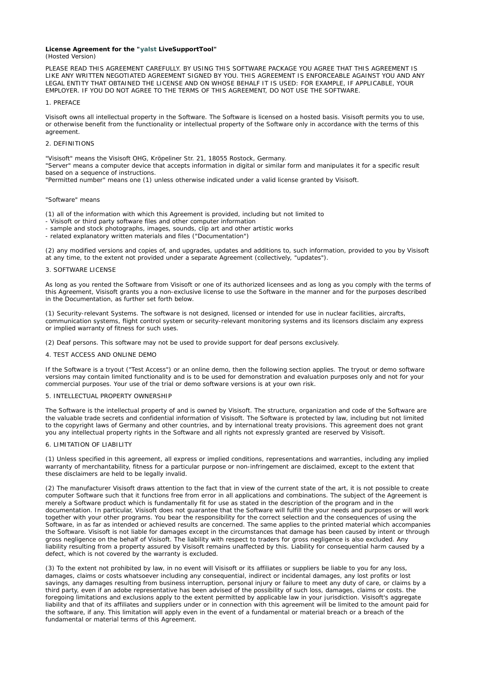#### **License Agreement for the "yalst LiveSupportTool"** (Hosted Version)

PLEASE READ THIS AGREEMENT CAREFULLY. BY USING THIS SOFTWARE PACKAGE YOU AGREE THAT THIS AGREEMENT IS LIKE ANY WRITTEN NEGOTIATED AGREEMENT SIGNED BY YOU. THIS AGREEMENT IS ENFORCEABLE AGAINST YOU AND ANY LEGAL ENTITY THAT OBTAINED THE LICENSE AND ON WHOSE BEHALF IT IS USED: FOR EXAMPLE, IF APPLICABLE, YOUR EMPLOYER. IF YOU DO NOT AGREE TO THE TERMS OF THIS AGREEMENT, DO NOT USE THE SOFTWARE.

#### 1. PREFACE

Visisoft owns all intellectual property in the Software. The Software is licensed on a hosted basis. Visisoft permits you to use, or otherwise benefit from the functionality or intellectual property of the Software only in accordance with the terms of this agreement.

### 2. DEFINITIONS

"Visisoft" means the Visisoft OHG, Kröpeliner Str. 21, 18055 Rostock, Germany.

"Server" means a computer device that accepts information in digital or similar form and manipulates it for a specific result based on a sequence of instructions.

"Permitted number" means one (1) unless otherwise indicated under a valid license granted by Visisoft.

#### "Software" means

(1) all of the information with which this Agreement is provided, including but not limited to

- Visisoft or third party software files and other computer information
- sample and stock photographs, images, sounds, clip art and other artistic works
- related explanatory written materials and files ("Documentation")

(2) any modified versions and copies of, and upgrades, updates and additions to, such information, provided to you by Visisoft at any time, to the extent not provided under a separate Agreement (collectively, "updates").

# 3. SOFTWARE LICENSE

As long as you rented the Software from Visisoft or one of its authorized licensees and as long as you comply with the terms of this Agreement, Visisoft grants you a non-exclusive license to use the Software in the manner and for the purposes described in the Documentation, as further set forth below.

(1) Security-relevant Systems. The software is not designed, licensed or intended for use in nuclear facilities, aircrafts, communication systems, flight control system or security-relevant monitoring systems and its licensors disclaim any express or implied warranty of fitness for such uses.

(2) Deaf persons. This software may not be used to provide support for deaf persons exclusively.

### 4. TEST ACCESS AND ONLINE DEMO

If the Software is a tryout ("Test Access") or an online demo, then the following section applies. The tryout or demo software versions may contain limited functionality and is to be used for demonstration and evaluation purposes only and not for your commercial purposes. Your use of the trial or demo software versions is at your own risk.

#### 5. INTELLECTUAL PROPERTY OWNERSHIP

The Software is the intellectual property of and is owned by Visisoft. The structure, organization and code of the Software are the valuable trade secrets and confidential information of Visisoft. The Software is protected by law, including but not limited to the copyright laws of Germany and other countries, and by international treaty provisions. This agreement does not grant you any intellectual property rights in the Software and all rights not expressly granted are reserved by Visisoft.

### 6. LIMITATION OF LIABILITY

(1) Unless specified in this agreement, all express or implied conditions, representations and warranties, including any implied warranty of merchantability, fitness for a particular purpose or non-infringement are disclaimed, except to the extent that these disclaimers are held to be legally invalid.

(2) The manufacturer Visisoft draws attention to the fact that in view of the current state of the art, it is not possible to create computer Software such that it functions free from error in all applications and combinations. The subject of the Agreement is merely a Software product which is fundamentally fit for use as stated in the description of the program and in the documentation. In particular, Visisoft does not guarantee that the Software will fulfill the your needs and purposes or will work together with your other programs. You bear the responsibility for the correct selection and the consequences of using the Software, in as far as intended or achieved results are concerned. The same applies to the printed material which accompanies the Software. Visisoft is not liable for damages except in the circumstances that damage has been caused by intent or through gross negligence on the behalf of Visisoft. The liability with respect to traders for gross negligence is also excluded. Any liability resulting from a property assured by Visisoft remains unaffected by this. Liability for consequential harm caused by a defect, which is not covered by the warranty is excluded.

(3) To the extent not prohibited by law, in no event will Visisoft or its affiliates or suppliers be liable to you for any loss, damages, claims or costs whatsoever including any consequential, indirect or incidental damages, any lost profits or lost savings, any damages resulting from business interruption, personal injury or failure to meet any duty of care, or claims by a third party, even if an adobe representative has been advised of the possibility of such loss, damages, claims or costs. the foregoing limitations and exclusions apply to the extent permitted by applicable law in your jurisdiction. Visisoft's aggregate liability and that of its affiliates and suppliers under or in connection with this agreement will be limited to the amount paid for the software, if any. This limitation will apply even in the event of a fundamental or material breach or a breach of the fundamental or material terms of this Agreement.